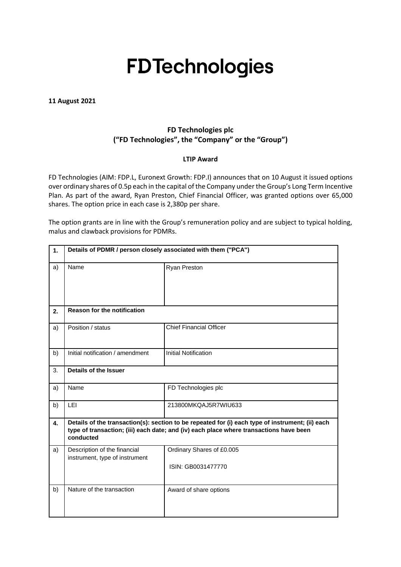# **FDTechnologies**

**11 August 2021**

## **FD Technologies plc ("FD Technologies", the "Company" or the "Group")**

#### **LTIP Award**

FD Technologies (AIM: FDP.L, Euronext Growth: FDP.I) announces that on 10 August it issued options over ordinary shares of 0.5p each in the capital of the Company under the Group's Long Term Incentive Plan. As part of the award, Ryan Preston, Chief Financial Officer, was granted options over 65,000 shares. The option price in each case is 2,380p per share.

The option grants are in line with the Group's remuneration policy and are subject to typical holding, malus and clawback provisions for PDMRs.

| 1. | Details of PDMR / person closely associated with them ("PCA")                                                                                                                                           |                                                 |  |
|----|---------------------------------------------------------------------------------------------------------------------------------------------------------------------------------------------------------|-------------------------------------------------|--|
| a) | Name                                                                                                                                                                                                    | <b>Ryan Preston</b>                             |  |
| 2. | <b>Reason for the notification</b>                                                                                                                                                                      |                                                 |  |
| a) | Position / status                                                                                                                                                                                       | <b>Chief Financial Officer</b>                  |  |
| b) | Initial notification / amendment                                                                                                                                                                        | <b>Initial Notification</b>                     |  |
| 3. | <b>Details of the Issuer</b>                                                                                                                                                                            |                                                 |  |
| a) | Name                                                                                                                                                                                                    | FD Technologies plc                             |  |
| b) | <b>LEI</b>                                                                                                                                                                                              | 213800MKQAJ5R7WIU633                            |  |
| 4. | Details of the transaction(s): section to be repeated for (i) each type of instrument; (ii) each<br>type of transaction; (iii) each date; and (iv) each place where transactions have been<br>conducted |                                                 |  |
| a) | Description of the financial<br>instrument, type of instrument                                                                                                                                          | Ordinary Shares of £0.005<br>ISIN: GB0031477770 |  |
| b) | Nature of the transaction                                                                                                                                                                               | Award of share options                          |  |